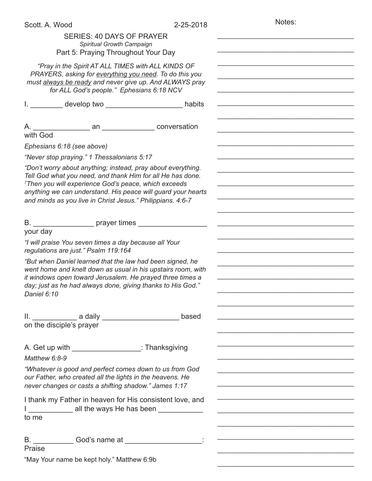Notes:

| SERIES: 40 DAYS OF PRAYER<br>Spiritual Growth Campaign<br>Part 5: Praying Throughout Your Day                                                                                                                                                                                                                                |                                                                                                                       |
|------------------------------------------------------------------------------------------------------------------------------------------------------------------------------------------------------------------------------------------------------------------------------------------------------------------------------|-----------------------------------------------------------------------------------------------------------------------|
| "Pray in the Spirit AT ALL TIMES with ALL KINDS OF<br>PRAYERS, asking for everything you need. To do this you<br>must always be ready and never give up. And ALWAYS pray<br>for ALL God's people." Ephesians 6:18 NCV                                                                                                        |                                                                                                                       |
| I. __________ develop two __________________________ habits                                                                                                                                                                                                                                                                  |                                                                                                                       |
| with God                                                                                                                                                                                                                                                                                                                     |                                                                                                                       |
| Ephesians 6:18 (see above)                                                                                                                                                                                                                                                                                                   |                                                                                                                       |
| "Never stop praying." 1 Thessalonians 5:17                                                                                                                                                                                                                                                                                   |                                                                                                                       |
| "Don't worry about anything; instead, pray about everything.<br>Tell God what you need, and thank Him for all He has done.<br><sup>7</sup> Then you will experience God's peace, which exceeds<br>anything we can understand. His peace will guard your hearts<br>and minds as you live in Christ Jesus." Philippians. 4:6-7 |                                                                                                                       |
| B. _______________________ prayer times _________                                                                                                                                                                                                                                                                            |                                                                                                                       |
| your day<br>"I will praise You seven times a day because all Your<br>regulations are just." Psalm 119:164                                                                                                                                                                                                                    |                                                                                                                       |
| "But when Daniel learned that the law had been signed, he<br>went home and knelt down as usual in his upstairs room, with<br>it windows open toward Jerusalem. He prayed three times a<br>day; just as he had always done, giving thanks to His God."<br>Daniel 6:10                                                         |                                                                                                                       |
| II. _________________ a daily _____________________________ based<br>on the disciple's prayer                                                                                                                                                                                                                                | <u> 1989 - Johann John Stein, market fan de Amerikaanske kommunister oant it fan de Amerikaanske kommunister fan </u> |
| A. Get up with the state of the state of the state of the state of the state of the state of the state of the state of the state of the state of the state of the state of the state of the state of the state of the state of<br>Matthew 6:8-9                                                                              |                                                                                                                       |
| "Whatever is good and perfect comes down to us from God<br>our Father, who created all the lights in the heavens. He<br>never changes or casts a shifting shadow." James 1:17                                                                                                                                                | the control of the control of the control of the control of the control of the control of                             |
| I thank my Father in heaven for His consistent love, and<br>all the ways He has been<br>to me                                                                                                                                                                                                                                | <u> 1950 - Johann John Harry Barbara, martin amerikan bahasa (j. 1950)</u>                                            |
| B. ______________God's name at ______________________:<br>Praise                                                                                                                                                                                                                                                             | <u> 1990 - Johann John Barn, martin de ferrer eta eta erromania eta erromania eta erromania eta erromania eta err</u> |
| "May Your name be kept holy." Matthew 6:9b                                                                                                                                                                                                                                                                                   |                                                                                                                       |